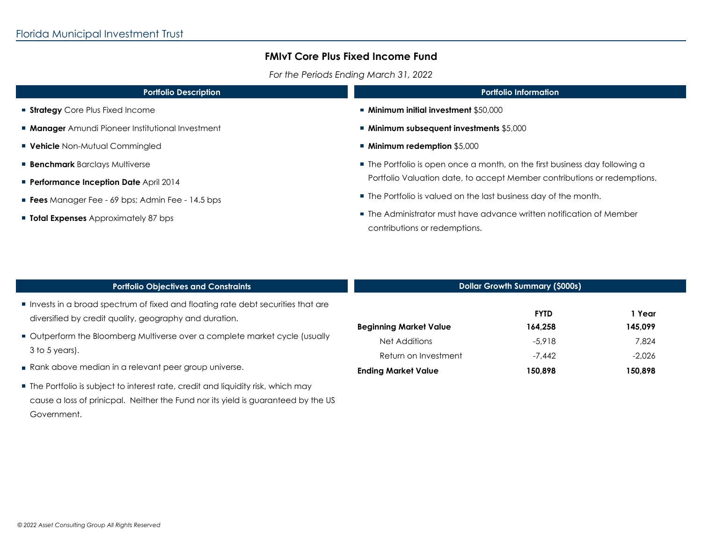## **FMIvT Core Plus Fixed Income Fund**

*For the Periods Ending March 31, 2022*

| <b>Portfolio Description</b>                           | <b>Portfolio Information</b>                                                                                                                            |  |
|--------------------------------------------------------|---------------------------------------------------------------------------------------------------------------------------------------------------------|--|
| <b>Strategy</b> Core Plus Fixed Income                 | ■ Minimum initial investment \$50,000                                                                                                                   |  |
| <b>Manager</b> Amundi Pioneer Institutional Investment | ■ Minimum subsequent investments \$5,000                                                                                                                |  |
| <b>Vehicle</b> Non-Mutual Commingled                   | ■ Minimum redemption \$5,000                                                                                                                            |  |
| <b>Benchmark</b> Barclays Multiverse                   | • The Portfolio is open once a month, on the first business day following a<br>Portfolio Valuation date, to accept Member contributions or redemptions. |  |
| <b>Performance Inception Date</b> April 2014           |                                                                                                                                                         |  |
| <b>Fees</b> Manager Fee - 69 bps; Admin Fee - 14.5 bps | ■ The Portfolio is valued on the last business day of the month.                                                                                        |  |
| <b>Total Expenses</b> Approximately 87 bps             | ■ The Administrator must have advance written notification of Member<br>contributions or redemptions.                                                   |  |
|                                                        |                                                                                                                                                         |  |

| <b>Portfolio Objectives and Constraints</b>                                                                                               | <b>Dollar Growth Summary (\$000s)</b> |                        |                   |
|-------------------------------------------------------------------------------------------------------------------------------------------|---------------------------------------|------------------------|-------------------|
| Invests in a broad spectrum of fixed and floating rate debt securities that are<br>diversified by credit quality, geography and duration. | <b>Beginning Market Value</b>         | <b>FYTD</b><br>164,258 | 1 Year<br>145,099 |
| Outperform the Bloomberg Multiverse over a complete market cycle (usually<br>$3$ to 5 years).                                             | Net Additions<br>Return on Investment | $-5.918$<br>$-7.442$   | 7.824<br>$-2,026$ |
| Rank above median in a relevant peer group universe.                                                                                      | <b>Ending Market Value</b>            | 150,898                | 150,898           |
| The Portfolio is subject to interest rate, credit and liquidity risk, which may                                                           |                                       |                        |                   |
| cause a loss of prinicpal. Neither the Fund nor its yield is guaranteed by the US                                                         |                                       |                        |                   |
| Government.                                                                                                                               |                                       |                        |                   |

 $\mathbf{m}$ 

 $\mathbf{u}$  .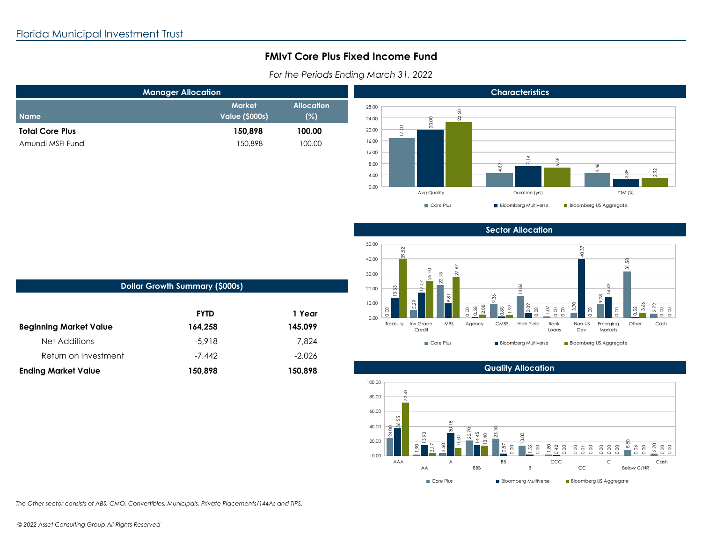**Name**

# **FMIvT Core Plus Fixed Income Fund**

*For the Periods Ending March 31, 2022*



### **Sector Allocation**



| <b>POINT OF OWNER SUBJININGLY (90003)</b> |          |  |  |
|-------------------------------------------|----------|--|--|
|                                           |          |  |  |
| <b>FYTD</b>                               | 1 Year   |  |  |
| 164,258                                   | 145,099  |  |  |
| $-5.918$                                  | 7.824    |  |  |
| $-7.442$                                  | $-2.026$ |  |  |
| 150,898                                   | 150,898  |  |  |
|                                           |          |  |  |

**Dollar Growth Summary (\$000s)**



#### **Quality Allocation**

*The Other sector consists of ABS, CMO, Convertibles, Municipals, Private Placements/144As and TIPS.*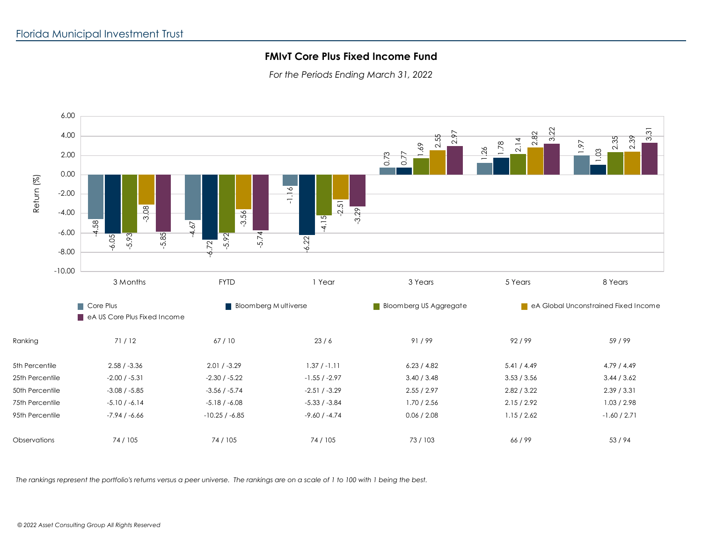## **FMIvT Core Plus Fixed Income Fund**

*For the Periods Ending March 31, 2022*



*The rankings represent the portfolio's returns versus a peer universe. The rankings are on a scale of 1 to 100 with 1 being the best.*